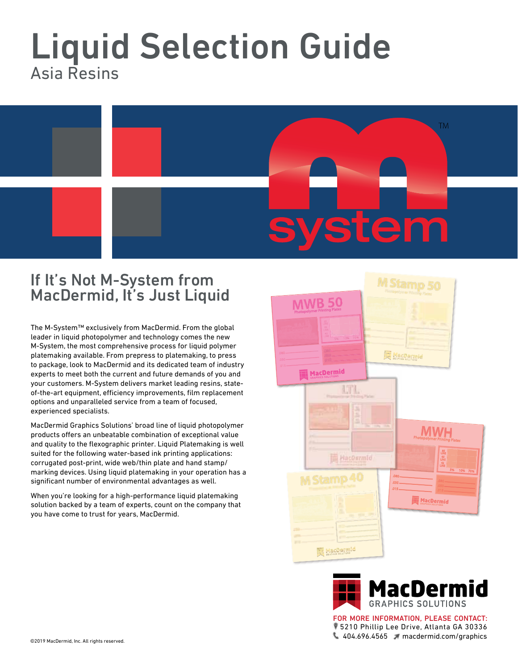## Liquid Selection Guide Asia Resins



## If It's Not M-System from MacDermid, It's Just Liquid

The M-System™ exclusively from MacDermid. From the global leader in liquid photopolymer and technology comes the new M-System, the most comprehensive process for liquid polymer platemaking available. From prepress to platemaking, to press to package, look to MacDermid and its dedicated team of industry experts to meet both the current and future demands of you and your customers. M-System delivers market leading resins, stateof-the-art equipment, efficiency improvements, film replacement options and unparalleled service from a team of focused, experienced specialists.

MacDermid Graphics Solutions' broad line of liquid photopolymer products offers an unbeatable combination of exceptional value and quality to the flexographic printer. Liquid Platemaking is well suited for the following water-based ink printing applications: corrugated post-print, wide web/thin plate and hand stamp/ marking devices. Using liquid platemaking in your operation has a significant number of environmental advantages as well.

When you're looking for a high-performance liquid platemaking solution backed by a team of experts, count on the company that you have come to trust for years, MacDermid.





5210 Phillip Lee Drive, Atlanta GA 30336 404.696.4565 macdermid.com/graphics FOR MORE INFORMATION, PLEASE CONTACT: